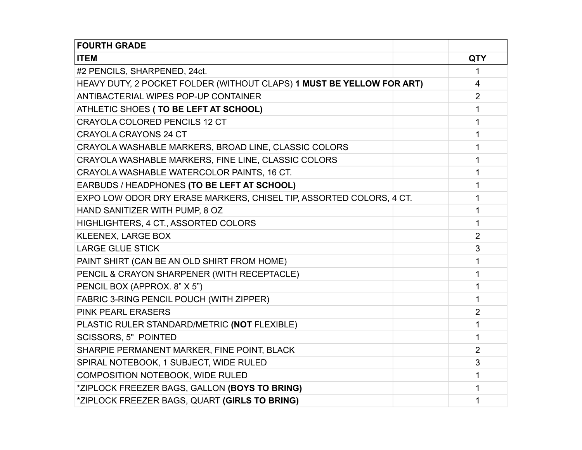| <b>FOURTH GRADE</b>                                                   |  |                |
|-----------------------------------------------------------------------|--|----------------|
| <b>ITEM</b>                                                           |  | <b>QTY</b>     |
| #2 PENCILS, SHARPENED, 24ct.                                          |  | 1              |
| HEAVY DUTY, 2 POCKET FOLDER (WITHOUT CLAPS) 1 MUST BE YELLOW FOR ART) |  | 4              |
| ANTIBACTERIAL WIPES POP-UP CONTAINER                                  |  | $\overline{2}$ |
| ATHLETIC SHOES (TO BE LEFT AT SCHOOL)                                 |  | 1              |
| <b>CRAYOLA COLORED PENCILS 12 CT</b>                                  |  | 1              |
| <b>CRAYOLA CRAYONS 24 CT</b>                                          |  | 1              |
| CRAYOLA WASHABLE MARKERS, BROAD LINE, CLASSIC COLORS                  |  | 1              |
| CRAYOLA WASHABLE MARKERS, FINE LINE, CLASSIC COLORS                   |  | 1              |
| CRAYOLA WASHABLE WATERCOLOR PAINTS, 16 CT.                            |  | 1              |
| EARBUDS / HEADPHONES (TO BE LEFT AT SCHOOL)                           |  | 1              |
| EXPO LOW ODOR DRY ERASE MARKERS, CHISEL TIP, ASSORTED COLORS, 4 CT.   |  | 1              |
| HAND SANITIZER WITH PUMP, 8 OZ                                        |  | 1              |
| HIGHLIGHTERS, 4 CT., ASSORTED COLORS                                  |  | 1              |
| <b>KLEENEX, LARGE BOX</b>                                             |  | $\overline{2}$ |
| <b>LARGE GLUE STICK</b>                                               |  | 3              |
| PAINT SHIRT (CAN BE AN OLD SHIRT FROM HOME)                           |  | 1              |
| PENCIL & CRAYON SHARPENER (WITH RECEPTACLE)                           |  | 1              |
| PENCIL BOX (APPROX. 8" X 5")                                          |  | 1              |
| FABRIC 3-RING PENCIL POUCH (WITH ZIPPER)                              |  | 1              |
| <b>PINK PEARL ERASERS</b>                                             |  | $\overline{2}$ |
| PLASTIC RULER STANDARD/METRIC (NOT FLEXIBLE)                          |  | 1              |
| <b>SCISSORS, 5" POINTED</b>                                           |  | 1              |
| SHARPIE PERMANENT MARKER, FINE POINT, BLACK                           |  | $\overline{2}$ |
| SPIRAL NOTEBOOK, 1 SUBJECT, WIDE RULED                                |  | 3              |
| COMPOSITION NOTEBOOK, WIDE RULED                                      |  | 1              |
| *ZIPLOCK FREEZER BAGS, GALLON (BOYS TO BRING)                         |  | 1              |
| *ZIPLOCK FREEZER BAGS, QUART (GIRLS TO BRING)                         |  | 1              |